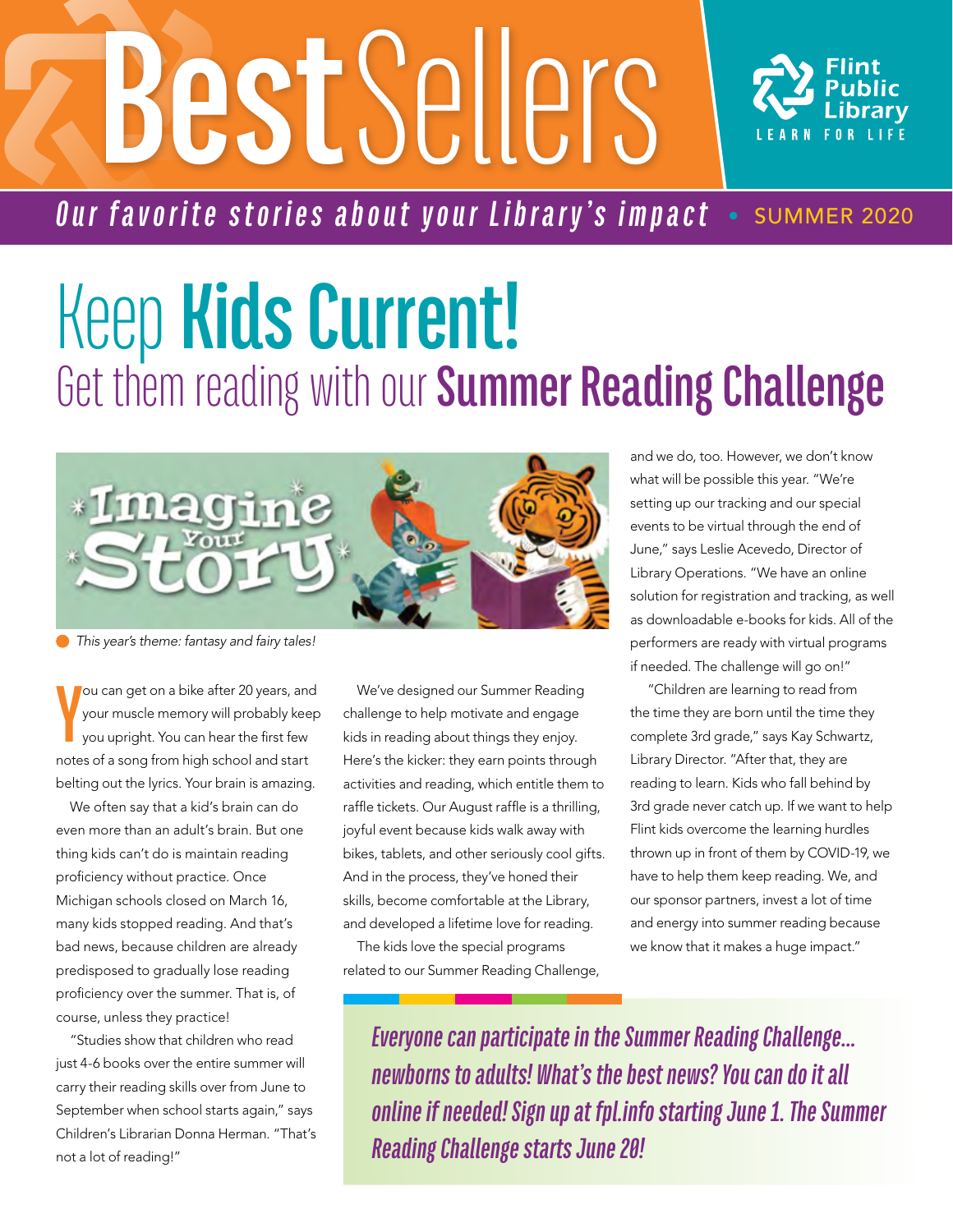# **Best** Sellers



*Our favorite stories about your Library's impact* • SUMMER 2020

### Keep **Kids Current!**  Get them reading with our **Summer Reading Challenge**



 *This year's theme: fantasy and fairy tales!* 

**Y** ou can get on a bike after 20 years, and your muscle memory will probably keep you upright. You can hear the first few notes of a song from high school and start belting out the lyrics. Your brain is amazing.

We often say that a kid's brain can do even more than an adult's brain. But one thing kids can't do is maintain reading proficiency without practice. Once Michigan schools closed on March 16, many kids stopped reading. And that's bad news, because children are already predisposed to gradually lose reading proficiency over the summer. That is, of course, unless they practice!

"Studies show that children who read just 4-6 books over the entire summer will carry their reading skills over from June to September when school starts again," says Children's Librarian Donna Herman. "That's not a lot of reading!"

We've designed our Summer Reading challenge to help motivate and engage kids in reading about things they enjoy. Here's the kicker: they earn points through activities and reading, which entitle them to raffle tickets. Our August raffle is a thrilling, joyful event because kids walk away with bikes, tablets, and other seriously cool gifts. And in the process, they've honed their skills, become comfortable at the Library, and developed a lifetime love for reading.

The kids love the special programs related to our Summer Reading Challenge,

and we do, too. However, we don't know what will be possible this year. "We're setting up our tracking and our special events to be virtual through the end of June," says Leslie Acevedo, Director of Library Operations. "We have an online solution for registration and tracking, as well as downloadable e-books for kids. All of the performers are ready with virtual programs if needed. The challenge will go on!"

 "Children are learning to read from the time they are born until the time they complete 3rd grade," says Kay Schwartz, Library Director. "After that, they are reading to learn. Kids who fall behind by 3rd grade never catch up. If we want to help Flint kids overcome the learning hurdles thrown up in front of them by COVID-19, we have to help them keep reading. We, and our sponsor partners, invest a lot of time and energy into summer reading because we know that it makes a huge impact."

*Everyone can participate in the Summer Reading Challenge… newborns to adults! What's the best news? You can do it all online if needed! Sign up at fpl.info starting June 1. The Summer Reading Challenge starts June 20!*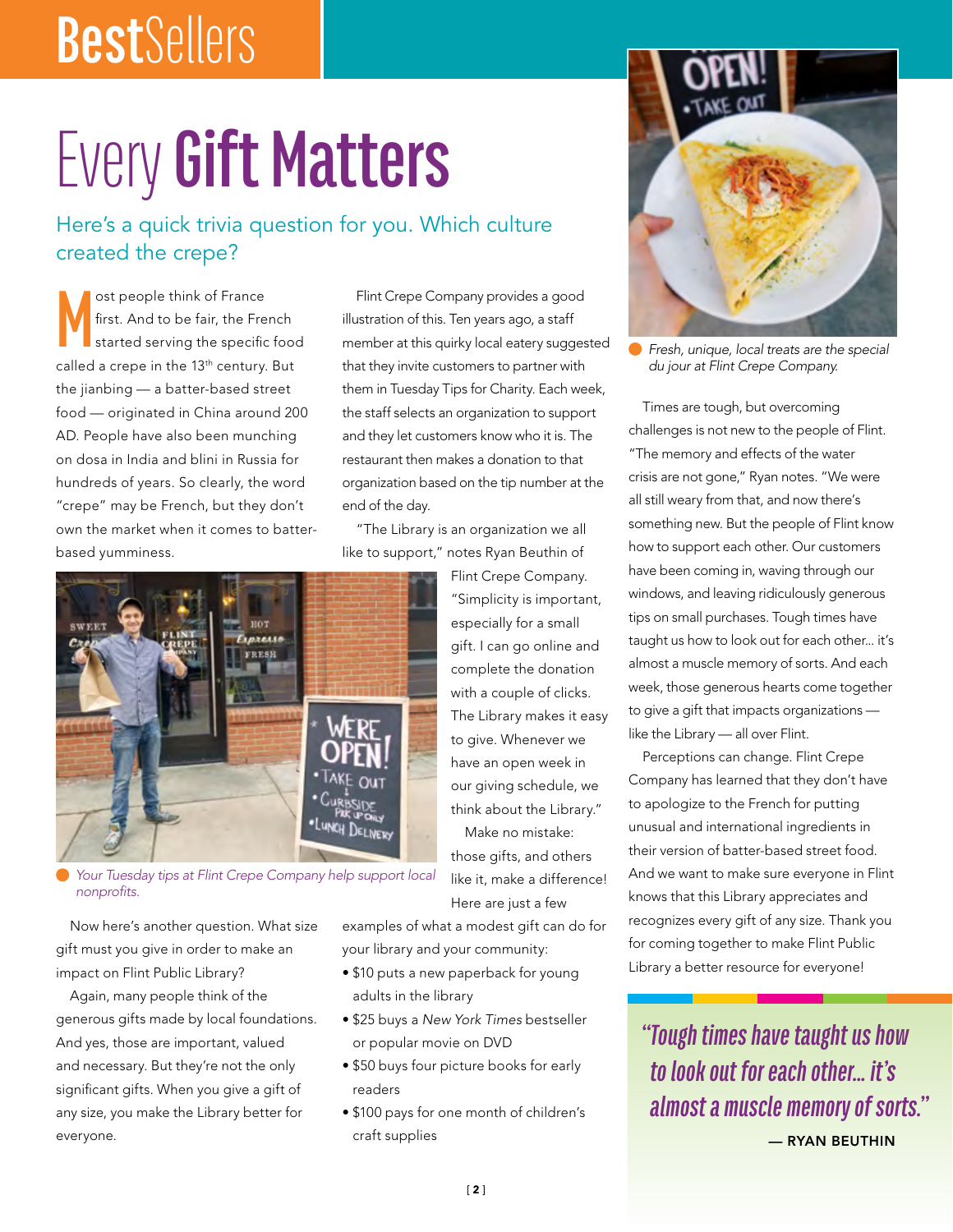### **Best**Sellers

# Every **Gift Matters**

#### Here's a quick trivia question for you. Which culture created the crepe?

**M** ost people think of France first. And to be fair, the French started serving the specific food called a crepe in the 13<sup>th</sup> century. But the jianbing — a batter-based street food — originated in China around 200 AD. People have also been munching on dosa in India and blini in Russia for hundreds of years. So clearly, the word "crepe" may be French, but they don't own the market when it comes to batterbased yumminess.

Flint Crepe Company provides a good illustration of this. Ten years ago, a staff member at this quirky local eatery suggested that they invite customers to partner with them in Tuesday Tips for Charity. Each week, the staff selects an organization to support and they let customers know who it is. The restaurant then makes a donation to that organization based on the tip number at the end of the day.

"The Library is an organization we all like to support," notes Ryan Beuthin of



*Your Tuesday tips at Flint Crepe Company help support local nonprofits.*

Now here's another question. What size gift must you give in order to make an impact on Flint Public Library?

Again, many people think of the generous gifts made by local foundations. And yes, those are important, valued and necessary. But they're not the only significant gifts. When you give a gift of any size, you make the Library better for everyone.

Flint Crepe Company. "Simplicity is important, especially for a small gift. I can go online and complete the donation with a couple of clicks. The Library makes it easy to give. Whenever we have an open week in our giving schedule, we think about the Library." Make no mistake:

those gifts, and others like it, make a difference! Here are just a few

examples of what a modest gift can do for your library and your community:

- \$10 puts a new paperback for young adults in the library
- \$25 buys a *New York Times* bestseller or popular movie on DVD
- \$50 buys four picture books for early readers
- \$100 pays for one month of children's craft supplies



*Fresh, unique, local treats are the special du jour at Flint Crepe Company.* 

Times are tough, but overcoming challenges is not new to the people of Flint. "The memory and effects of the water crisis are not gone," Ryan notes. "We were all still weary from that, and now there's something new. But the people of Flint know how to support each other. Our customers have been coming in, waving through our windows, and leaving ridiculously generous tips on small purchases. Tough times have taught us how to look out for each other... it's almost a muscle memory of sorts. And each week, those generous hearts come together to give a gift that impacts organizations like the Library — all over Flint.

Perceptions can change. Flint Crepe Company has learned that they don't have to apologize to the French for putting unusual and international ingredients in their version of batter-based street food. And we want to make sure everyone in Flint knows that this Library appreciates and recognizes every gift of any size. Thank you for coming together to make Flint Public Library a better resource for everyone!

*"Tough times have taught us how to look out for each other... it's almost a muscle memory of sorts."*  $-$  RYAN BEUTHIN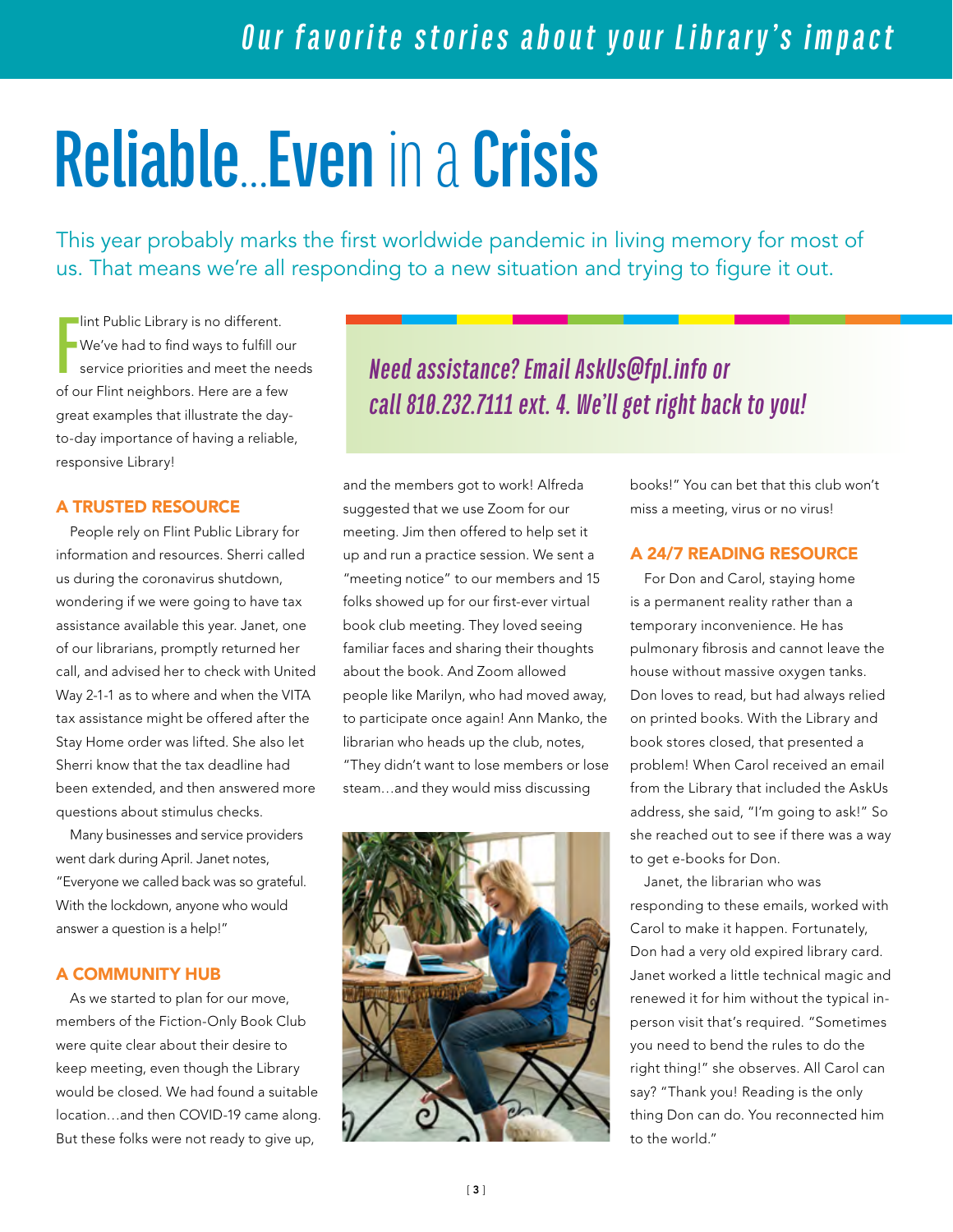# **Reliable**…**Even** in a **Crisis**

This year probably marks the first worldwide pandemic in living memory for most of us. That means we're all responding to a new situation and trying to figure it out.

**F Int Public Library is no different.** We've had to find ways to fulfill our service priorities and meet the needs of our Flint neighbors. Here are a few great examples that illustrate the dayto-day importance of having a reliable, responsive Library!

#### A TRUSTED RESOURCE

People rely on Flint Public Library for information and resources. Sherri called us during the coronavirus shutdown, wondering if we were going to have tax assistance available this year. Janet, one of our librarians, promptly returned her call, and advised her to check with United Way 2-1-1 as to where and when the VITA tax assistance might be offered after the Stay Home order was lifted. She also let Sherri know that the tax deadline had been extended, and then answered more questions about stimulus checks.

Many businesses and service providers went dark during April. Janet notes, "Everyone we called back was so grateful. With the lockdown, anyone who would answer a question is a help!"

#### A COMMUNITY HUB

As we started to plan for our move, members of the Fiction-Only Book Club were quite clear about their desire to keep meeting, even though the Library would be closed. We had found a suitable location…and then COVID-19 came along. But these folks were not ready to give up,

*Need assistance? Email AskUs@fpl.info or call 810.232.7111 ext. 4. We'll get right back to you!*

and the members got to work! Alfreda suggested that we use Zoom for our meeting. Jim then offered to help set it up and run a practice session. We sent a "meeting notice" to our members and 15 folks showed up for our first-ever virtual book club meeting. They loved seeing familiar faces and sharing their thoughts about the book. And Zoom allowed people like Marilyn, who had moved away, to participate once again! Ann Manko, the librarian who heads up the club, notes, "They didn't want to lose members or lose steam…and they would miss discussing



books!" You can bet that this club won't miss a meeting, virus or no virus!

#### A 24/7 READING RESOURCE

For Don and Carol, staying home is a permanent reality rather than a temporary inconvenience. He has pulmonary fibrosis and cannot leave the house without massive oxygen tanks. Don loves to read, but had always relied on printed books. With the Library and book stores closed, that presented a problem! When Carol received an email from the Library that included the AskUs address, she said, "I'm going to ask!" So she reached out to see if there was a way to get e-books for Don.

Janet, the librarian who was responding to these emails, worked with Carol to make it happen. Fortunately, Don had a very old expired library card. Janet worked a little technical magic and renewed it for him without the typical inperson visit that's required. "Sometimes you need to bend the rules to do the right thing!" she observes. All Carol can say? "Thank you! Reading is the only thing Don can do. You reconnected him to the world."